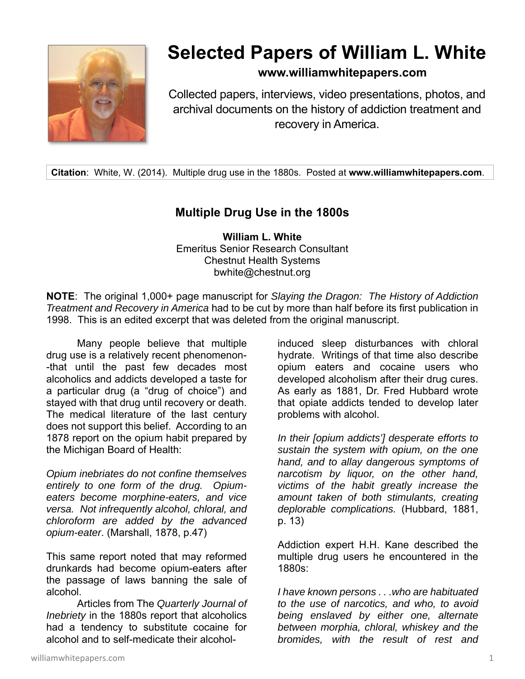

## **Selected Papers of William L. White**

## **www.williamwhitepapers.com**

Collected papers, interviews, video presentations, photos, and archival documents on the history of addiction treatment and recovery in America.

**Citation**: White, W. (2014). Multiple drug use in the 1880s. Posted at **www.williamwhitepapers.com**.

## **Multiple Drug Use in the 1800s**

**William L. White**  Emeritus Senior Research Consultant Chestnut Health Systems bwhite@chestnut.org

**NOTE**: The original 1,000+ page manuscript for *Slaying the Dragon: The History of Addiction Treatment and Recovery in America* had to be cut by more than half before its first publication in 1998. This is an edited excerpt that was deleted from the original manuscript.

Many people believe that multiple drug use is a relatively recent phenomenon- -that until the past few decades most alcoholics and addicts developed a taste for a particular drug (a "drug of choice") and stayed with that drug until recovery or death. The medical literature of the last century does not support this belief. According to an 1878 report on the opium habit prepared by the Michigan Board of Health:

*Opium inebriates do not confine themselves entirely to one form of the drug. Opiumeaters become morphine-eaters, and vice versa. Not infrequently alcohol, chloral, and chloroform are added by the advanced opium-eater*. (Marshall, 1878, p.47)

This same report noted that may reformed drunkards had become opium-eaters after the passage of laws banning the sale of alcohol.

 Articles from The *Quarterly Journal of Inebriety* in the 1880s report that alcoholics had a tendency to substitute cocaine for alcohol and to self-medicate their alcohol-

induced sleep disturbances with chloral hydrate. Writings of that time also describe opium eaters and cocaine users who developed alcoholism after their drug cures. As early as 1881, Dr. Fred Hubbard wrote that opiate addicts tended to develop later problems with alcohol.

*In their [opium addicts'] desperate efforts to sustain the system with opium, on the one hand, and to allay dangerous symptoms of narcotism by liquor, on the other hand, victims of the habit greatly increase the amount taken of both stimulants, creating deplorable complications.* (Hubbard, 1881, p. 13)

Addiction expert H.H. Kane described the multiple drug users he encountered in the 1880s:

*I have known persons . . .who are habituated to the use of narcotics, and who, to avoid being enslaved by either one, alternate between morphia, chloral, whiskey and the bromides, with the result of rest and*